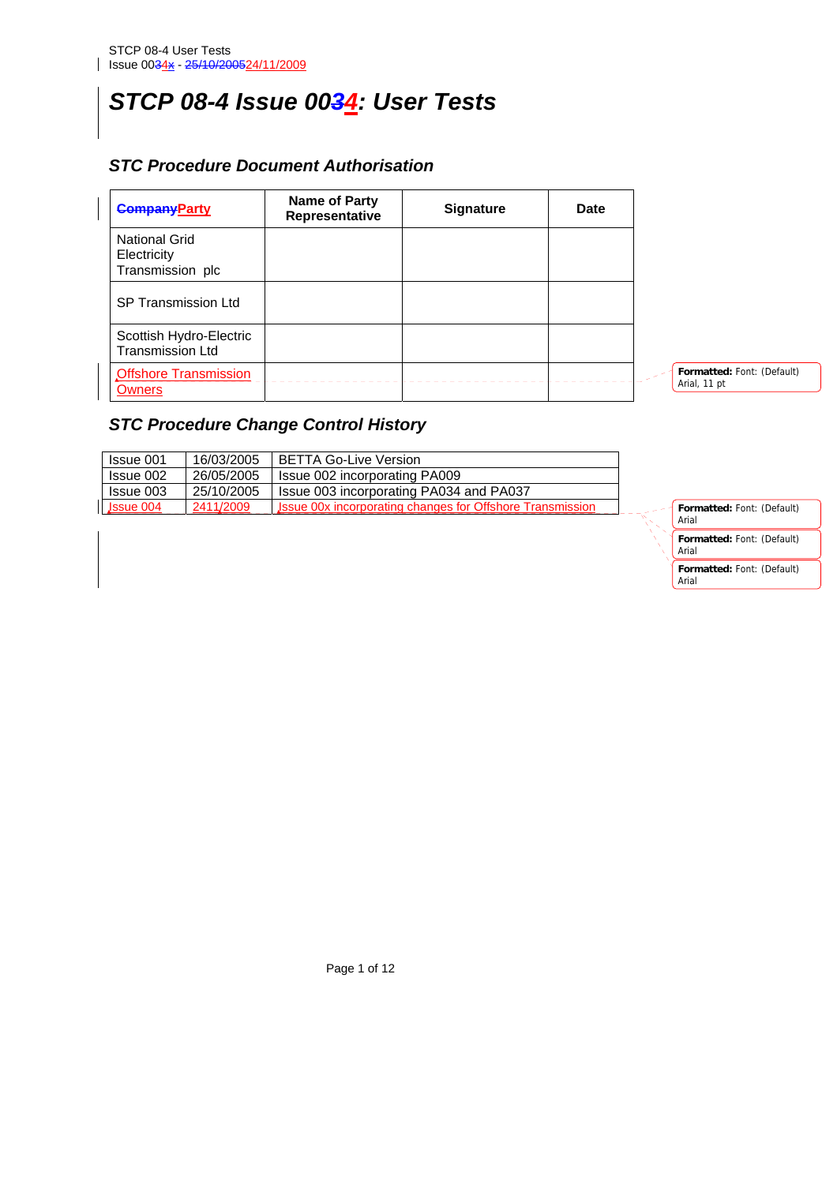# *STCP 08-4 Issue 0034: User Tests*

## *STC Procedure Document Authorisation*

| <b>CompanyParty</b>                                     | Name of Party<br>Representative | <b>Signature</b> | Date |                                            |
|---------------------------------------------------------|---------------------------------|------------------|------|--------------------------------------------|
| <b>National Grid</b><br>Electricity<br>Transmission plc |                                 |                  |      |                                            |
| <b>SP Transmission Ltd</b>                              |                                 |                  |      |                                            |
| Scottish Hydro-Electric<br><b>Transmission Ltd</b>      |                                 |                  |      |                                            |
| <b>Offshore Transmission</b><br><b>Owners</b>           |                                 |                  |      | Formatted: Font: (Default)<br>Arial, 11 pt |

## *STC Procedure Change Control History*

| Issue 001   | 16/03/2005 | <b>BETTA Go-Live Version</b>                              |
|-------------|------------|-----------------------------------------------------------|
| Issue 002   | 26/05/2005 | Issue 002 incorporating PA009                             |
| Issue 003   | 25/10/2005 | Issue 003 incorporating PA034 and PA037                   |
| $\ssue 004$ | 2411/2009  | Issue 00x incorporating changes for Offshore Transmission |



Page 1 of 12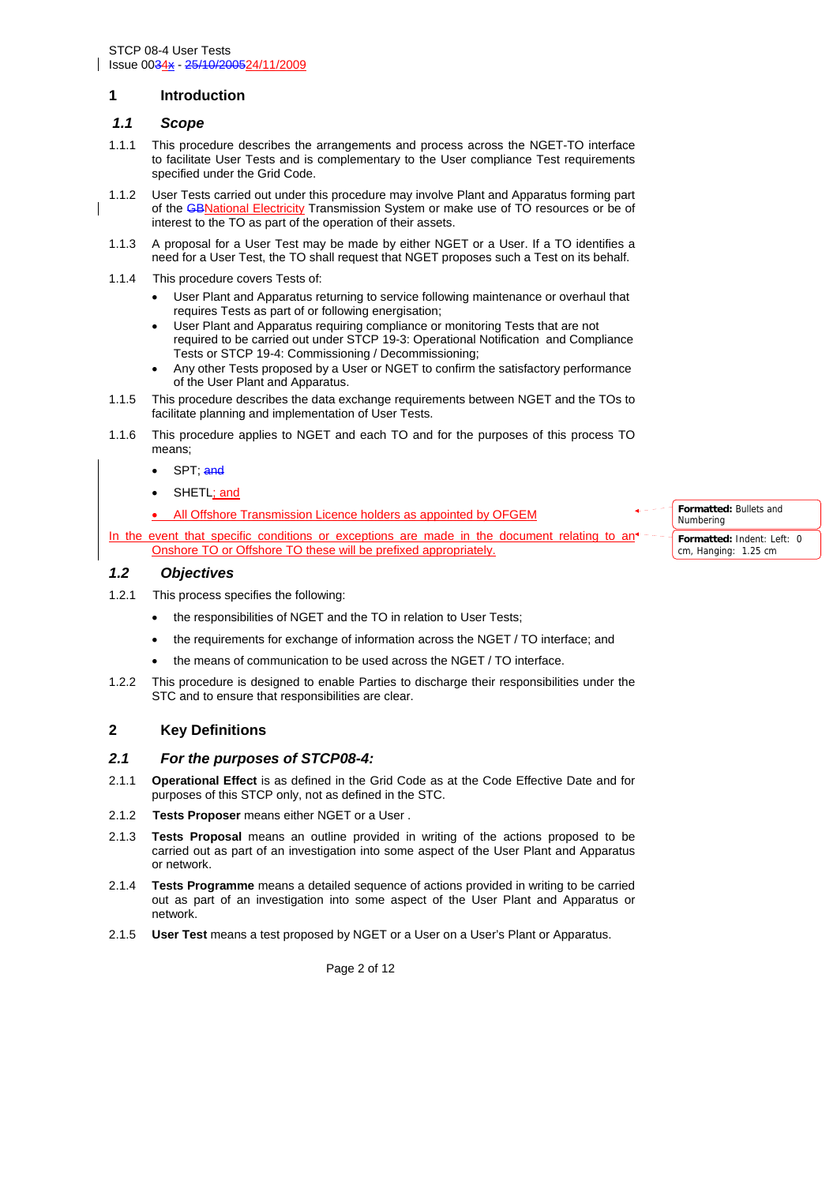#### **1 Introduction**

#### *1.1 Scope*

- 1.1.1 This procedure describes the arrangements and process across the NGET-TO interface to facilitate User Tests and is complementary to the User compliance Test requirements specified under the Grid Code.
- 1.1.2 User Tests carried out under this procedure may involve Plant and Apparatus forming part of the GBNational Electricity Transmission System or make use of TO resources or be of interest to the TO as part of the operation of their assets.
- 1.1.3 A proposal for a User Test may be made by either NGET or a User. If a TO identifies a need for a User Test, the TO shall request that NGET proposes such a Test on its behalf.
- 1.1.4 This procedure covers Tests of:
	- User Plant and Apparatus returning to service following maintenance or overhaul that requires Tests as part of or following energisation;
	- User Plant and Apparatus requiring compliance or monitoring Tests that are not required to be carried out under STCP 19-3: Operational Notification and Compliance Tests or STCP 19-4: Commissioning / Decommissioning;
	- Any other Tests proposed by a User or NGET to confirm the satisfactory performance of the User Plant and Apparatus.
- 1.1.5 This procedure describes the data exchange requirements between NGET and the TOs to facilitate planning and implementation of User Tests.
- 1.1.6 This procedure applies to NGET and each TO and for the purposes of this process TO means;
	- SPT; and
	- SHETL: and
	- All Offshore Transmission Licence holders as appointed by OFGEM

In the event that specific conditions or exceptions are made in the document relating to an<sup>4</sup> Onshore TO or Offshore TO these will be prefixed appropriately.

#### *1.2 Objectives*

- 1.2.1 This process specifies the following:
	- the responsibilities of NGET and the TO in relation to User Tests:
	- the requirements for exchange of information across the NGET / TO interface; and
	- the means of communication to be used across the NGET / TO interface.
- 1.2.2 This procedure is designed to enable Parties to discharge their responsibilities under the STC and to ensure that responsibilities are clear.

#### **2 Key Definitions**

#### *2.1 For the purposes of STCP08-4:*

- 2.1.1 **Operational Effect** is as defined in the Grid Code as at the Code Effective Date and for purposes of this STCP only, not as defined in the STC.
- 2.1.2 **Tests Proposer** means either NGET or a User .
- 2.1.3 **Tests Proposal** means an outline provided in writing of the actions proposed to be carried out as part of an investigation into some aspect of the User Plant and Apparatus or network.
- 2.1.4 **Tests Programme** means a detailed sequence of actions provided in writing to be carried out as part of an investigation into some aspect of the User Plant and Apparatus or network.
- 2.1.5 **User Test** means a test proposed by NGET or a User on a User's Plant or Apparatus.

Page 2 of 12

**Formatted:** Bullets and Numbering **Formatted:** Indent: Left: 0 cm, Hanging: 1.25 cm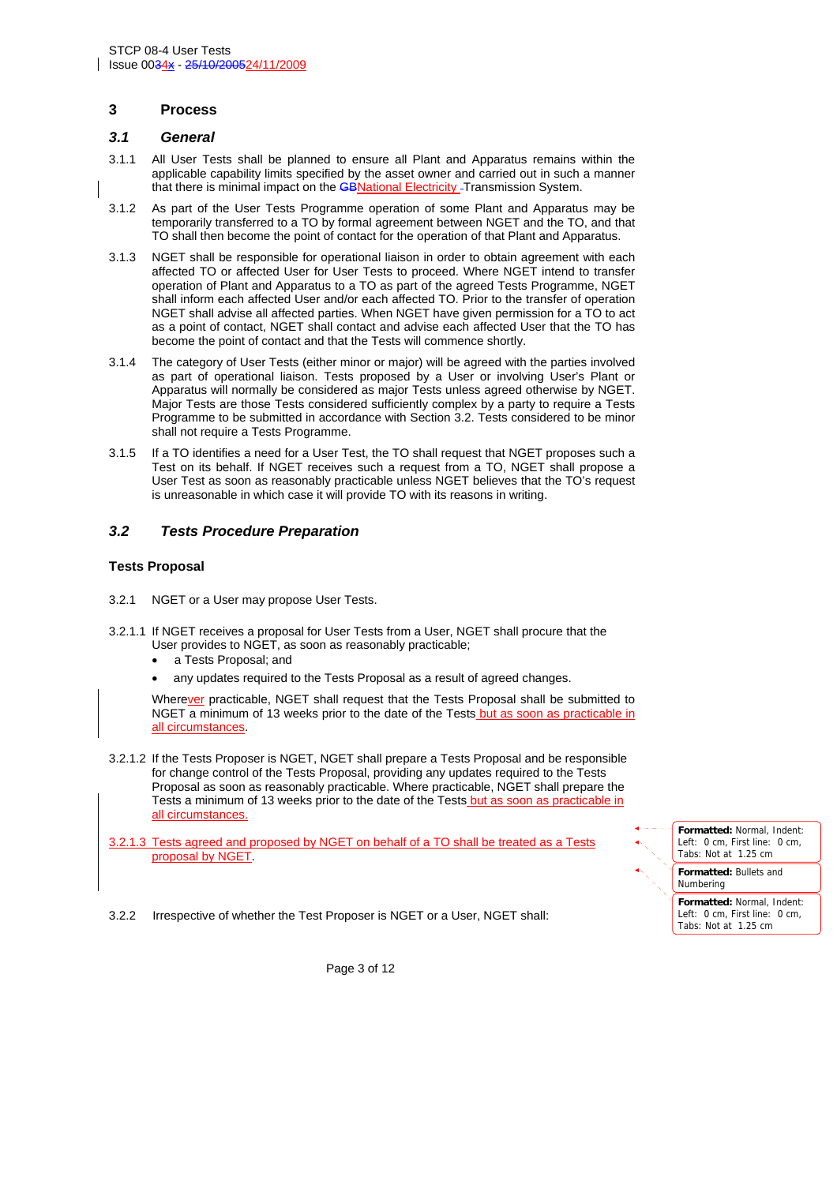#### **3 Process**

#### *3.1 General*

- 3.1.1 All User Tests shall be planned to ensure all Plant and Apparatus remains within the applicable capability limits specified by the asset owner and carried out in such a manner that there is minimal impact on the **GBNational Electricity** - Transmission System.
- 3.1.2 As part of the User Tests Programme operation of some Plant and Apparatus may be temporarily transferred to a TO by formal agreement between NGET and the TO, and that TO shall then become the point of contact for the operation of that Plant and Apparatus.
- 3.1.3 NGET shall be responsible for operational liaison in order to obtain agreement with each affected TO or affected User for User Tests to proceed. Where NGET intend to transfer operation of Plant and Apparatus to a TO as part of the agreed Tests Programme, NGET shall inform each affected User and/or each affected TO. Prior to the transfer of operation NGET shall advise all affected parties. When NGET have given permission for a TO to act as a point of contact, NGET shall contact and advise each affected User that the TO has become the point of contact and that the Tests will commence shortly.
- 3.1.4 The category of User Tests (either minor or major) will be agreed with the parties involved as part of operational liaison. Tests proposed by a User or involving User's Plant or Apparatus will normally be considered as major Tests unless agreed otherwise by NGET. Major Tests are those Tests considered sufficiently complex by a party to require a Tests Programme to be submitted in accordance with Section 3.2. Tests considered to be minor shall not require a Tests Programme.
- 3.1.5 If a TO identifies a need for a User Test, the TO shall request that NGET proposes such a Test on its behalf. If NGET receives such a request from a TO, NGET shall propose a User Test as soon as reasonably practicable unless NGET believes that the TO's request is unreasonable in which case it will provide TO with its reasons in writing.

#### *3.2 Tests Procedure Preparation*

#### **Tests Proposal**

- 3.2.1 NGET or a User may propose User Tests.
- 3.2.1.1 If NGET receives a proposal for User Tests from a User, NGET shall procure that the User provides to NGET, as soon as reasonably practicable;
	- a Tests Proposal; and
	- any updates required to the Tests Proposal as a result of agreed changes.

Wherever practicable, NGET shall request that the Tests Proposal shall be submitted to NGET a minimum of 13 weeks prior to the date of the Tests but as soon as practicable in all circumstances.

- 3.2.1.2 If the Tests Proposer is NGET, NGET shall prepare a Tests Proposal and be responsible for change control of the Tests Proposal, providing any updates required to the Tests Proposal as soon as reasonably practicable. Where practicable, NGET shall prepare the Tests a minimum of 13 weeks prior to the date of the Tests but as soon as practicable in all circumstances.
- 3.2.1.3 Tests agreed and proposed by NGET on behalf of a TO shall be treated as a Tests proposal by NGET.



3.2.2 Irrespective of whether the Test Proposer is NGET or a User, NGET shall:

Page 3 of 12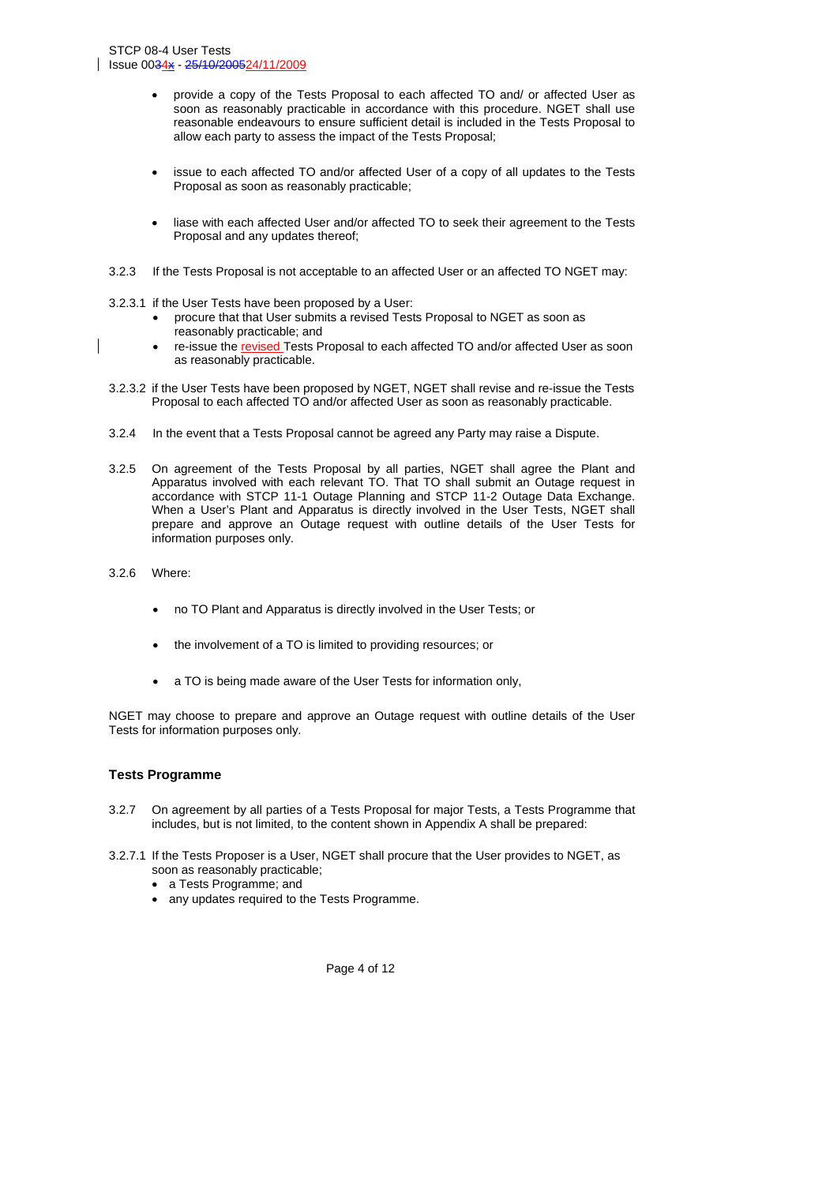- provide a copy of the Tests Proposal to each affected TO and/ or affected User as soon as reasonably practicable in accordance with this procedure. NGET shall use reasonable endeavours to ensure sufficient detail is included in the Tests Proposal to allow each party to assess the impact of the Tests Proposal;
- issue to each affected TO and/or affected User of a copy of all updates to the Tests Proposal as soon as reasonably practicable;
- liase with each affected User and/or affected TO to seek their agreement to the Tests Proposal and any updates thereof;
- 3.2.3 If the Tests Proposal is not acceptable to an affected User or an affected TO NGET may:
- 3.2.3.1 if the User Tests have been proposed by a User:
	- procure that that User submits a revised Tests Proposal to NGET as soon as reasonably practicable; and
	- re-issue the revised Tests Proposal to each affected TO and/or affected User as soon as reasonably practicable.
- 3.2.3.2 if the User Tests have been proposed by NGET, NGET shall revise and re-issue the Tests Proposal to each affected TO and/or affected User as soon as reasonably practicable.
- 3.2.4 In the event that a Tests Proposal cannot be agreed any Party may raise a Dispute.
- 3.2.5 On agreement of the Tests Proposal by all parties, NGET shall agree the Plant and Apparatus involved with each relevant TO. That TO shall submit an Outage request in accordance with STCP 11-1 Outage Planning and STCP 11-2 Outage Data Exchange. When a User's Plant and Apparatus is directly involved in the User Tests, NGET shall prepare and approve an Outage request with outline details of the User Tests for information purposes only.
- 3.2.6 Where:
	- no TO Plant and Apparatus is directly involved in the User Tests; or
	- the involvement of a TO is limited to providing resources; or
	- a TO is being made aware of the User Tests for information only,

NGET may choose to prepare and approve an Outage request with outline details of the User Tests for information purposes only.

#### **Tests Programme**

- 3.2.7 On agreement by all parties of a Tests Proposal for major Tests, a Tests Programme that includes, but is not limited, to the content shown in Appendix A shall be prepared:
- 3.2.7.1 If the Tests Proposer is a User, NGET shall procure that the User provides to NGET, as soon as reasonably practicable;
	- a Tests Programme; and
	- any updates required to the Tests Programme.

Page 4 of 12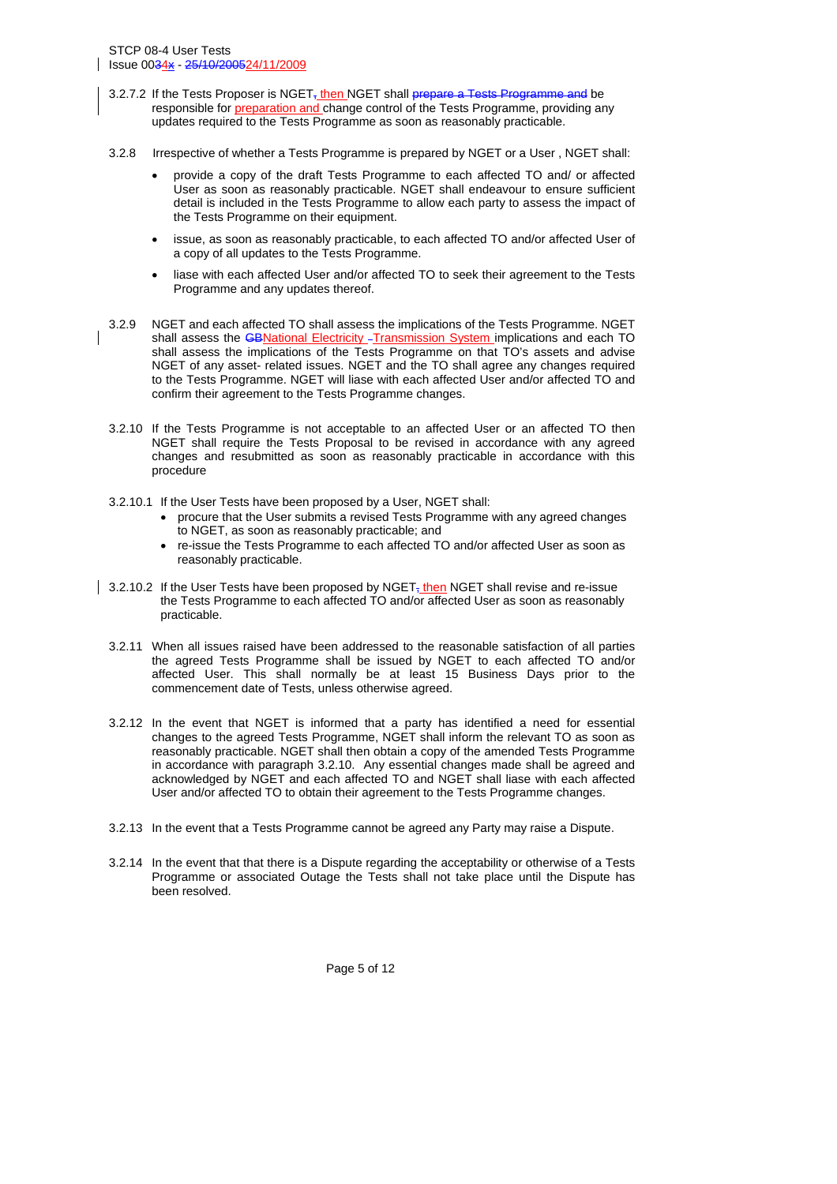- 3.2.7.2 If the Tests Proposer is  $NGET_{\overline{x}}$  then NGET shall prepare a Tests Programme and be responsible for **preparation and change control of the Tests Programme**, providing any updates required to the Tests Programme as soon as reasonably practicable.
- 3.2.8 Irrespective of whether a Tests Programme is prepared by NGET or a User , NGET shall:
	- provide a copy of the draft Tests Programme to each affected TO and/ or affected User as soon as reasonably practicable. NGET shall endeavour to ensure sufficient detail is included in the Tests Programme to allow each party to assess the impact of the Tests Programme on their equipment.
	- issue, as soon as reasonably practicable, to each affected TO and/or affected User of a copy of all updates to the Tests Programme.
	- liase with each affected User and/or affected TO to seek their agreement to the Tests Programme and any updates thereof.
- 3.2.9 NGET and each affected TO shall assess the implications of the Tests Programme. NGET shall assess the *GBNational Electricity* - Transmission System implications and each TO shall assess the implications of the Tests Programme on that TO's assets and advise NGET of any asset- related issues. NGET and the TO shall agree any changes required to the Tests Programme. NGET will liase with each affected User and/or affected TO and confirm their agreement to the Tests Programme changes.
- 3.2.10 If the Tests Programme is not acceptable to an affected User or an affected TO then NGET shall require the Tests Proposal to be revised in accordance with any agreed changes and resubmitted as soon as reasonably practicable in accordance with this procedure
- 3.2.10.1 If the User Tests have been proposed by a User, NGET shall:
	- procure that the User submits a revised Tests Programme with any agreed changes to NGET, as soon as reasonably practicable; and
	- re-issue the Tests Programme to each affected TO and/or affected User as soon as reasonably practicable.
- 3.2.10.2 If the User Tests have been proposed by NGET<sub>7</sub> then NGET shall revise and re-issue the Tests Programme to each affected TO and/or affected User as soon as reasonably practicable.
	- 3.2.11 When all issues raised have been addressed to the reasonable satisfaction of all parties the agreed Tests Programme shall be issued by NGET to each affected TO and/or affected User. This shall normally be at least 15 Business Days prior to the commencement date of Tests, unless otherwise agreed.
	- 3.2.12 In the event that NGET is informed that a party has identified a need for essential changes to the agreed Tests Programme, NGET shall inform the relevant TO as soon as reasonably practicable. NGET shall then obtain a copy of the amended Tests Programme in accordance with paragraph 3.2.10. Any essential changes made shall be agreed and acknowledged by NGET and each affected TO and NGET shall liase with each affected User and/or affected TO to obtain their agreement to the Tests Programme changes.
	- 3.2.13 In the event that a Tests Programme cannot be agreed any Party may raise a Dispute.
	- 3.2.14 In the event that that there is a Dispute regarding the acceptability or otherwise of a Tests Programme or associated Outage the Tests shall not take place until the Dispute has been resolved.

Page 5 of 12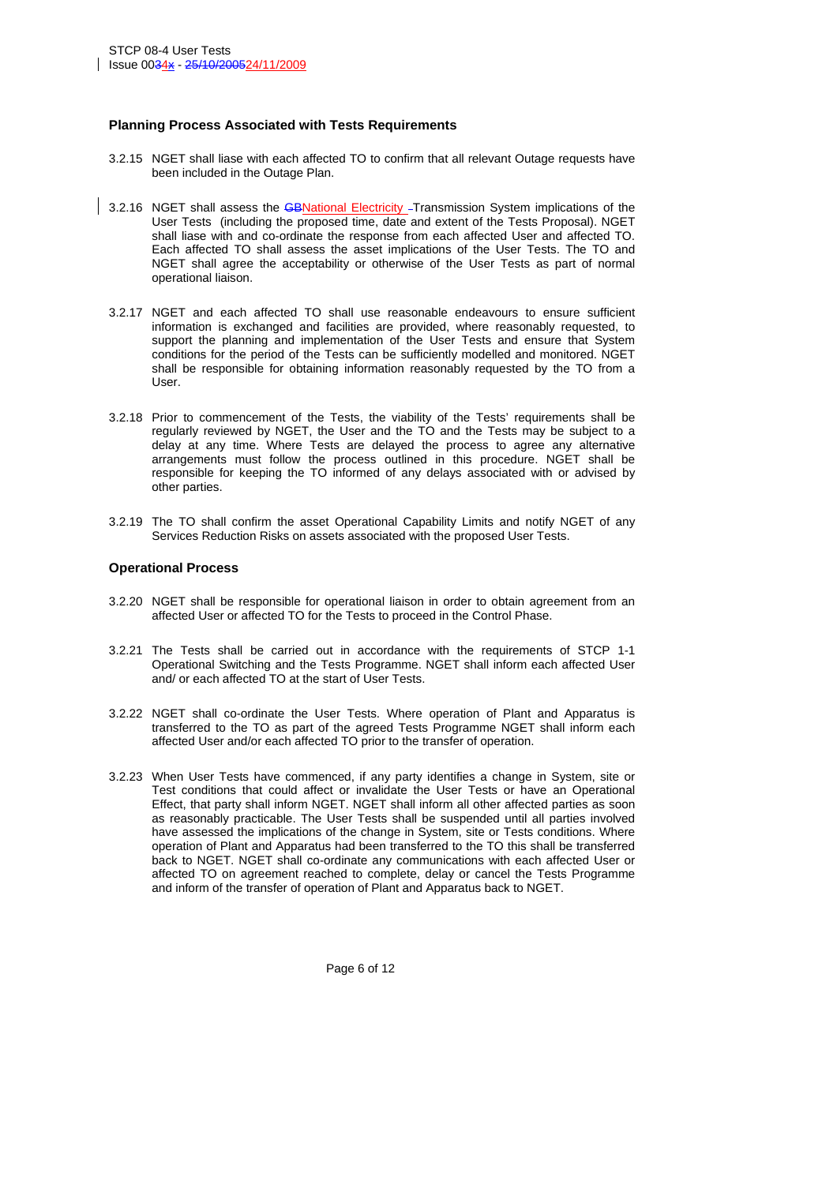#### **Planning Process Associated with Tests Requirements**

- 3.2.15 NGET shall liase with each affected TO to confirm that all relevant Outage requests have been included in the Outage Plan.
- 3.2.16 NGET shall assess the GBNational Electricity Transmission System implications of the User Tests (including the proposed time, date and extent of the Tests Proposal). NGET shall liase with and co-ordinate the response from each affected User and affected TO. Each affected TO shall assess the asset implications of the User Tests. The TO and NGET shall agree the acceptability or otherwise of the User Tests as part of normal operational liaison.
- 3.2.17 NGET and each affected TO shall use reasonable endeavours to ensure sufficient information is exchanged and facilities are provided, where reasonably requested, to support the planning and implementation of the User Tests and ensure that System conditions for the period of the Tests can be sufficiently modelled and monitored. NGET shall be responsible for obtaining information reasonably requested by the TO from a User.
- 3.2.18 Prior to commencement of the Tests, the viability of the Tests' requirements shall be regularly reviewed by NGET, the User and the TO and the Tests may be subject to a delay at any time. Where Tests are delayed the process to agree any alternative arrangements must follow the process outlined in this procedure. NGET shall be responsible for keeping the TO informed of any delays associated with or advised by other parties.
- 3.2.19 The TO shall confirm the asset Operational Capability Limits and notify NGET of any Services Reduction Risks on assets associated with the proposed User Tests.

#### **Operational Process**

- 3.2.20 NGET shall be responsible for operational liaison in order to obtain agreement from an affected User or affected TO for the Tests to proceed in the Control Phase.
- 3.2.21 The Tests shall be carried out in accordance with the requirements of STCP 1-1 Operational Switching and the Tests Programme. NGET shall inform each affected User and/ or each affected TO at the start of User Tests.
- 3.2.22 NGET shall co-ordinate the User Tests. Where operation of Plant and Apparatus is transferred to the TO as part of the agreed Tests Programme NGET shall inform each affected User and/or each affected TO prior to the transfer of operation.
- 3.2.23 When User Tests have commenced, if any party identifies a change in System, site or Test conditions that could affect or invalidate the User Tests or have an Operational Effect, that party shall inform NGET. NGET shall inform all other affected parties as soon as reasonably practicable. The User Tests shall be suspended until all parties involved have assessed the implications of the change in System, site or Tests conditions. Where operation of Plant and Apparatus had been transferred to the TO this shall be transferred back to NGET. NGET shall co-ordinate any communications with each affected User or affected TO on agreement reached to complete, delay or cancel the Tests Programme and inform of the transfer of operation of Plant and Apparatus back to NGET.

Page 6 of 12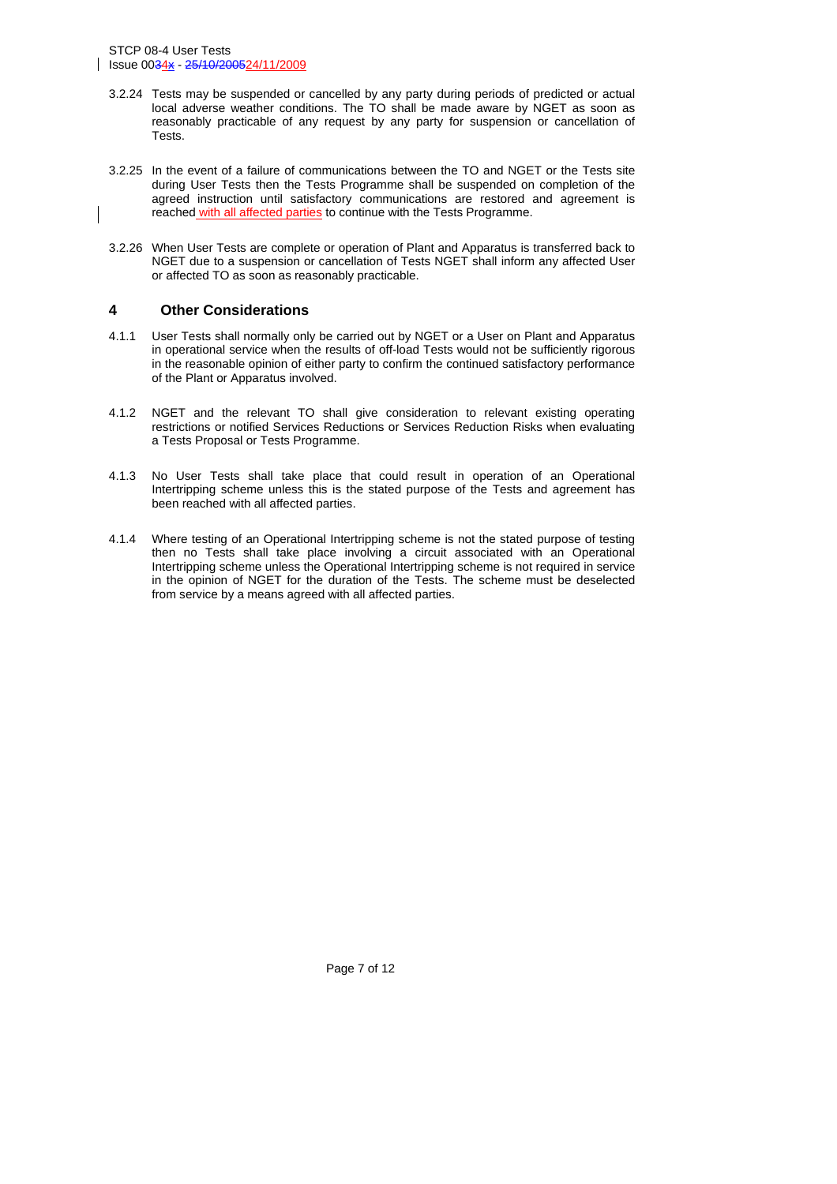STCP 08-4 User Tests Issue 0034x - 25/10/200524/11/2009

- 3.2.24 Tests may be suspended or cancelled by any party during periods of predicted or actual local adverse weather conditions. The TO shall be made aware by NGET as soon as reasonably practicable of any request by any party for suspension or cancellation of Tests.
- 3.2.25 In the event of a failure of communications between the TO and NGET or the Tests site during User Tests then the Tests Programme shall be suspended on completion of the agreed instruction until satisfactory communications are restored and agreement is reached with all affected parties to continue with the Tests Programme.
- 3.2.26 When User Tests are complete or operation of Plant and Apparatus is transferred back to NGET due to a suspension or cancellation of Tests NGET shall inform any affected User or affected TO as soon as reasonably practicable.

#### **4 Other Considerations**

- 4.1.1 User Tests shall normally only be carried out by NGET or a User on Plant and Apparatus in operational service when the results of off-load Tests would not be sufficiently rigorous in the reasonable opinion of either party to confirm the continued satisfactory performance of the Plant or Apparatus involved.
- 4.1.2 NGET and the relevant TO shall give consideration to relevant existing operating restrictions or notified Services Reductions or Services Reduction Risks when evaluating a Tests Proposal or Tests Programme.
- 4.1.3 No User Tests shall take place that could result in operation of an Operational Intertripping scheme unless this is the stated purpose of the Tests and agreement has been reached with all affected parties.
- 4.1.4 Where testing of an Operational Intertripping scheme is not the stated purpose of testing then no Tests shall take place involving a circuit associated with an Operational Intertripping scheme unless the Operational Intertripping scheme is not required in service in the opinion of NGET for the duration of the Tests. The scheme must be deselected from service by a means agreed with all affected parties.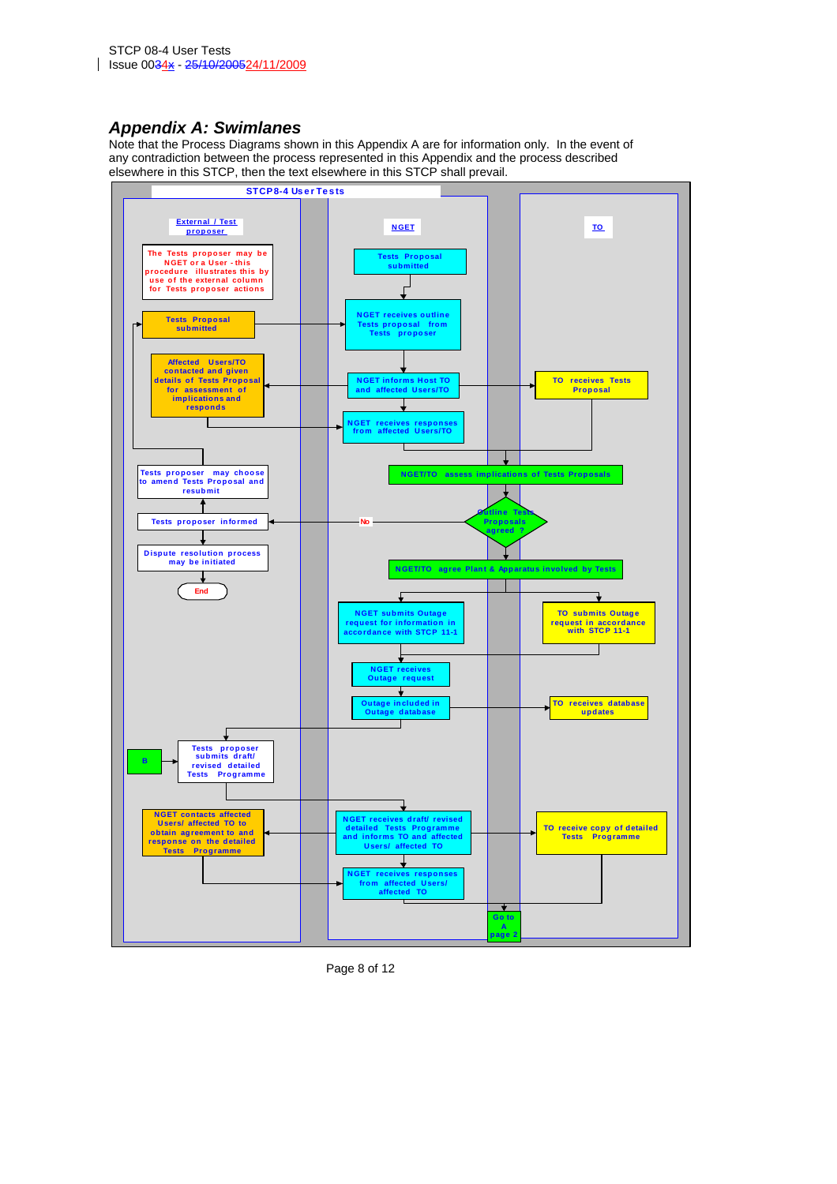### *Appendix A: Swimlanes*

Note that the Process Diagrams shown in this Appendix A are for information only. In the event of any contradiction between the process represented in this Appendix and the process described elsewhere in this STCP, then the text elsewhere in this STCP shall prevail.



Page 8 of 12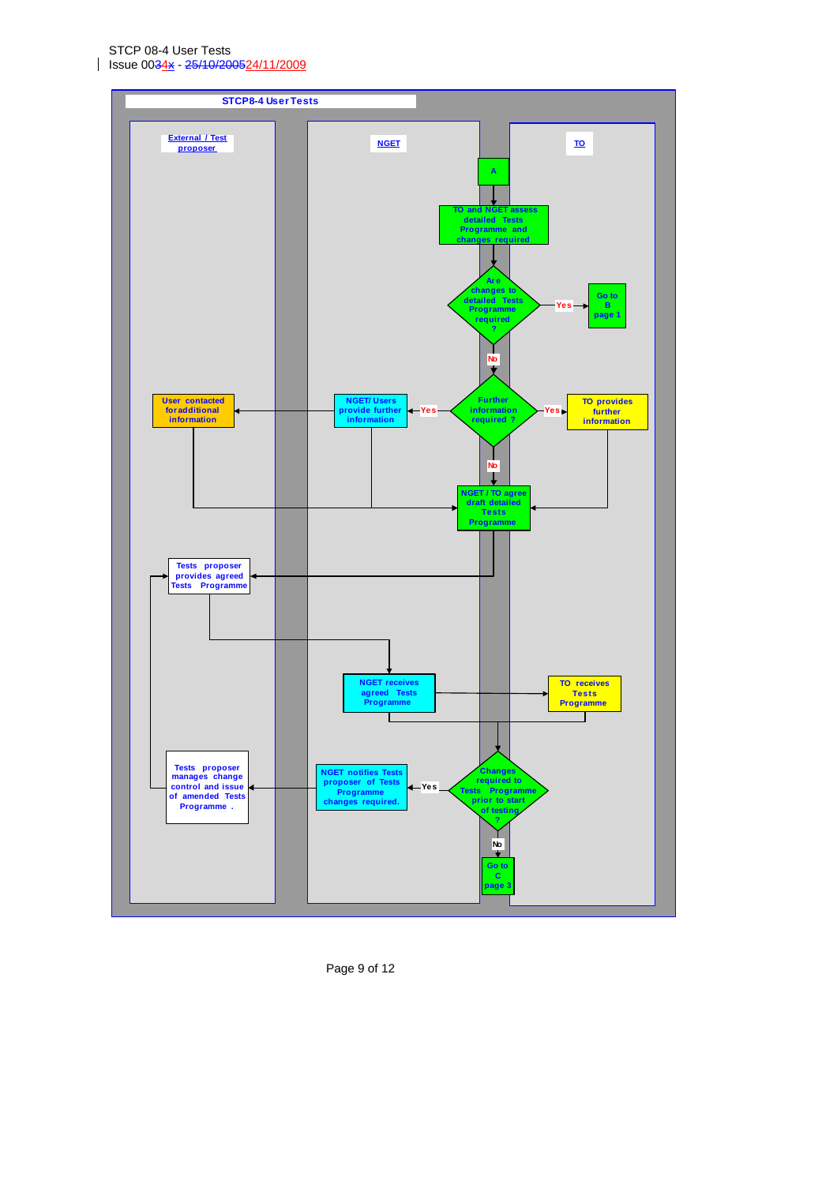STCP 08-4 User Tests Issue 0034x - 25/10/200524/11/2009

 $\mathsf{l}$ 



Page 9 of 12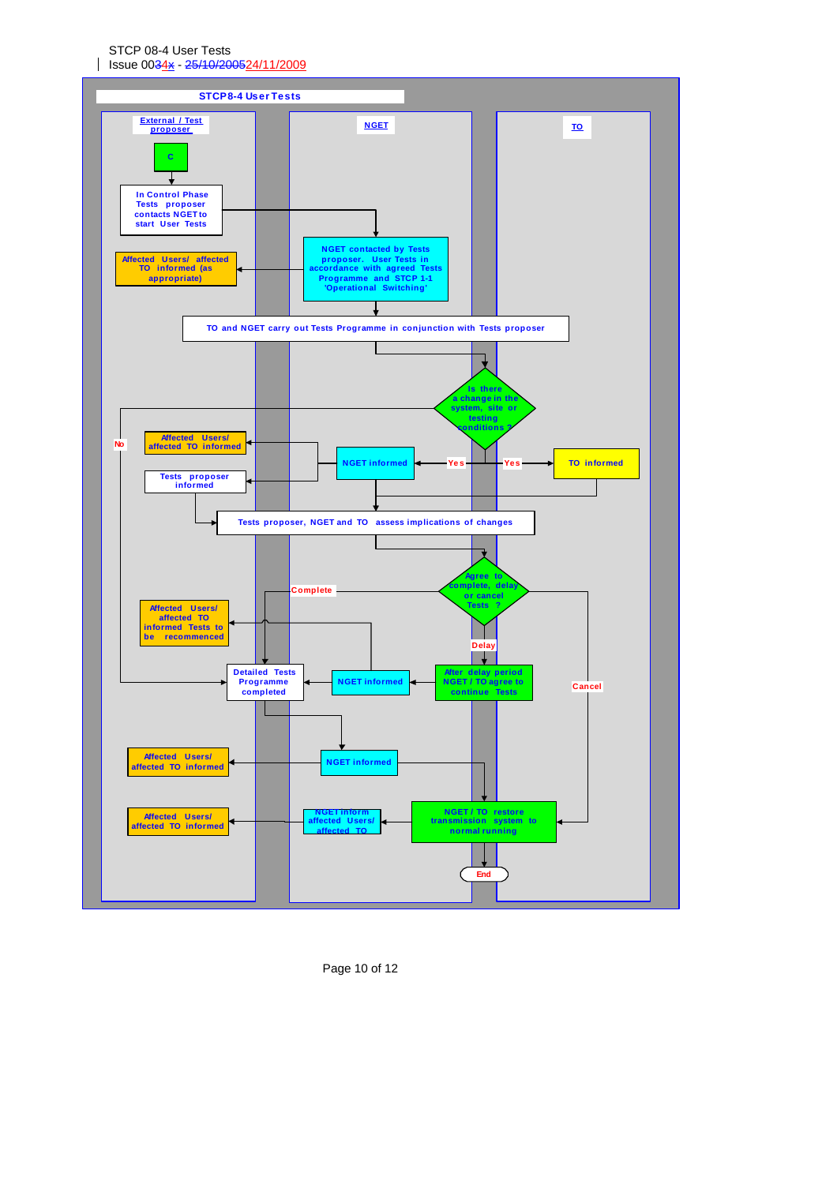STCP 08-4 User Tests Issue 0034x - 25/10/200524/11/2009



Page 10 of 12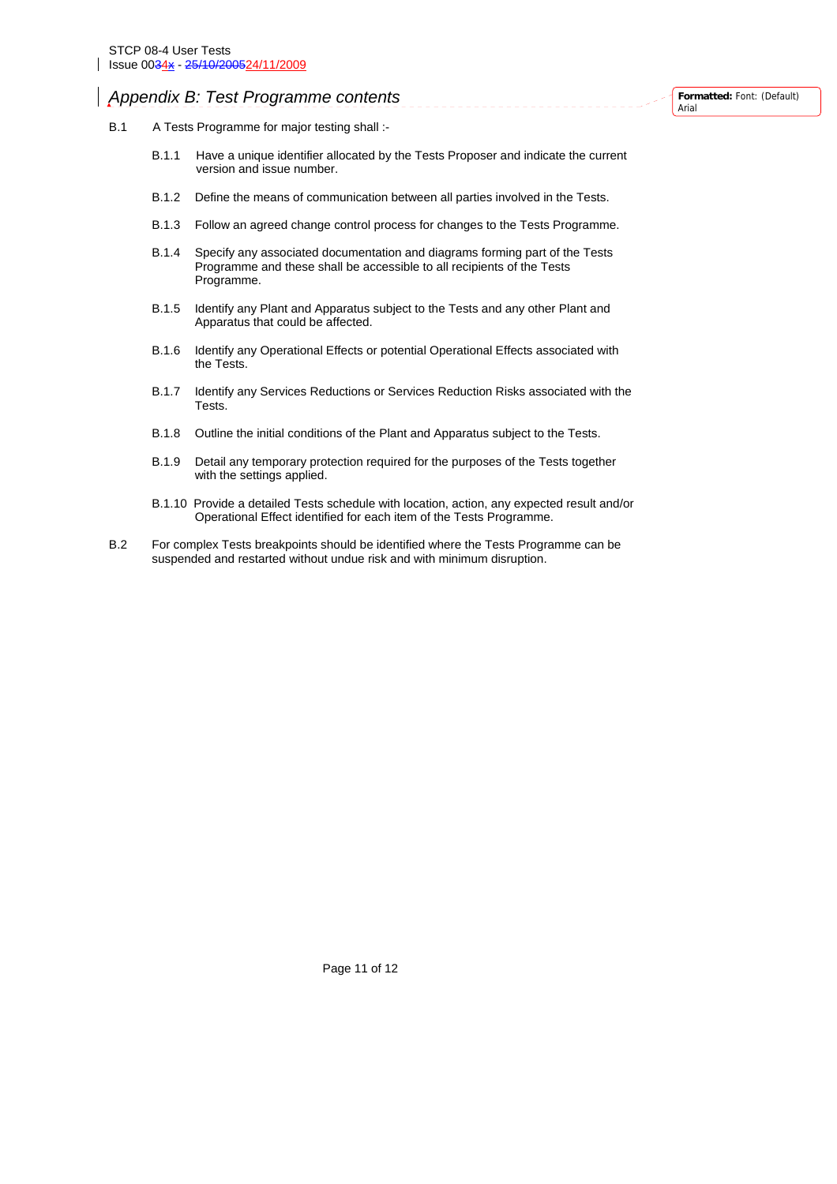## *Appendix B: Test Programme contents*

- B.1 A Tests Programme for major testing shall :-
	- B.1.1 Have a unique identifier allocated by the Tests Proposer and indicate the current version and issue number.

<u>Liberatu</u>

- B.1.2 Define the means of communication between all parties involved in the Tests.
- B.1.3 Follow an agreed change control process for changes to the Tests Programme.
- B.1.4 Specify any associated documentation and diagrams forming part of the Tests Programme and these shall be accessible to all recipients of the Tests Programme.
- B.1.5 Identify any Plant and Apparatus subject to the Tests and any other Plant and Apparatus that could be affected.
- B.1.6 Identify any Operational Effects or potential Operational Effects associated with the Tests.
- B.1.7 Identify any Services Reductions or Services Reduction Risks associated with the Tests.
- B.1.8 Outline the initial conditions of the Plant and Apparatus subject to the Tests.
- B.1.9 Detail any temporary protection required for the purposes of the Tests together with the settings applied.
- B.1.10 Provide a detailed Tests schedule with location, action, any expected result and/or Operational Effect identified for each item of the Tests Programme.
- B.2 For complex Tests breakpoints should be identified where the Tests Programme can be suspended and restarted without undue risk and with minimum disruption.